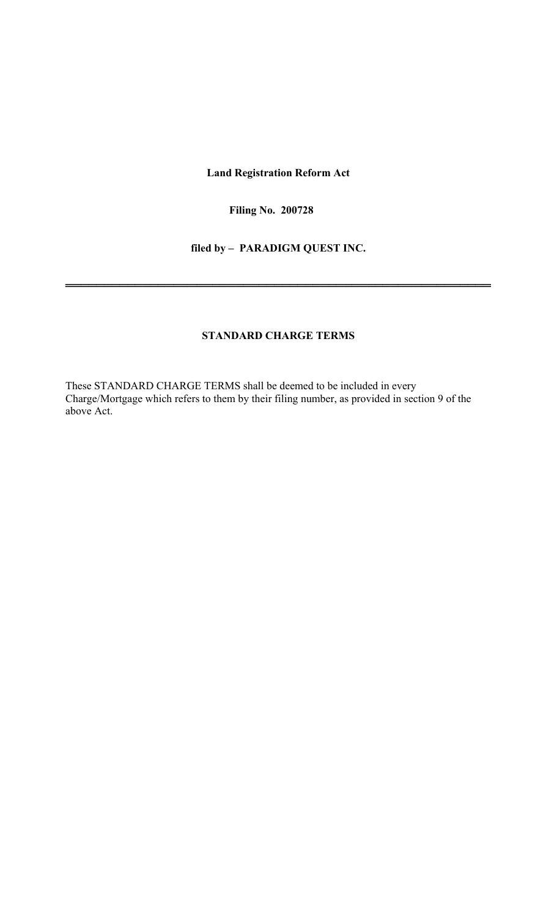**Land Registration Reform Act** 

**Filing No. 200728** 

**filed by – PARADIGM QUEST INC.** 

═══════════════════════════════════════════════════════

# **STANDARD CHARGE TERMS**

These STANDARD CHARGE TERMS shall be deemed to be included in every Charge/Mortgage which refers to them by their filing number, as provided in section 9 of the above Act.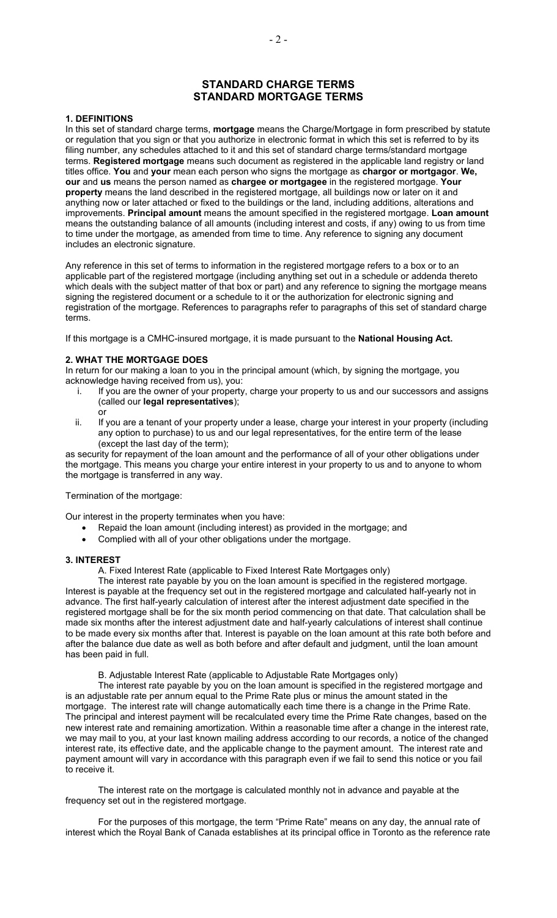# **STANDARD CHARGE TERMS STANDARD MORTGAGE TERMS**

#### **1. DEFINITIONS**

In this set of standard charge terms, **mortgage** means the Charge/Mortgage in form prescribed by statute or regulation that you sign or that you authorize in electronic format in which this set is referred to by its filing number, any schedules attached to it and this set of standard charge terms/standard mortgage terms. **Registered mortgage** means such document as registered in the applicable land registry or land titles office. **You** and **your** mean each person who signs the mortgage as **chargor or mortgagor**. **We, our** and **us** means the person named as **chargee or mortgagee** in the registered mortgage. **Your property** means the land described in the registered mortgage, all buildings now or later on it and anything now or later attached or fixed to the buildings or the land, including additions, alterations and improvements. **Principal amount** means the amount specified in the registered mortgage. **Loan amount**  means the outstanding balance of all amounts (including interest and costs, if any) owing to us from time to time under the mortgage, as amended from time to time. Any reference to signing any document includes an electronic signature.

Any reference in this set of terms to information in the registered mortgage refers to a box or to an applicable part of the registered mortgage (including anything set out in a schedule or addenda thereto which deals with the subject matter of that box or part) and any reference to signing the mortgage means signing the registered document or a schedule to it or the authorization for electronic signing and registration of the mortgage. References to paragraphs refer to paragraphs of this set of standard charge terms.

If this mortgage is a CMHC-insured mortgage, it is made pursuant to the **National Housing Act.** 

#### **2. WHAT THE MORTGAGE DOES**

In return for our making a loan to you in the principal amount (which, by signing the mortgage, you acknowledge having received from us), you:

- i. If you are the owner of your property, charge your property to us and our successors and assigns (called our **legal representatives**); or
- ii. If you are a tenant of your property under a lease, charge your interest in your property (including any option to purchase) to us and our legal representatives, for the entire term of the lease (except the last day of the term);

as security for repayment of the loan amount and the performance of all of your other obligations under the mortgage. This means you charge your entire interest in your property to us and to anyone to whom the mortgage is transferred in any way.

Termination of the mortgage:

Our interest in the property terminates when you have:

- Repaid the loan amount (including interest) as provided in the mortgage; and
- Complied with all of your other obligations under the mortgage.

#### **3. INTEREST**

A. Fixed Interest Rate (applicable to Fixed Interest Rate Mortgages only)

The interest rate payable by you on the loan amount is specified in the registered mortgage. Interest is payable at the frequency set out in the registered mortgage and calculated half-yearly not in advance. The first half-yearly calculation of interest after the interest adjustment date specified in the registered mortgage shall be for the six month period commencing on that date. That calculation shall be made six months after the interest adjustment date and half-yearly calculations of interest shall continue to be made every six months after that. Interest is payable on the loan amount at this rate both before and after the balance due date as well as both before and after default and judgment, until the loan amount has been paid in full.

B. Adjustable Interest Rate (applicable to Adjustable Rate Mortgages only)

The interest rate payable by you on the loan amount is specified in the registered mortgage and is an adjustable rate per annum equal to the Prime Rate plus or minus the amount stated in the mortgage. The interest rate will change automatically each time there is a change in the Prime Rate. The principal and interest payment will be recalculated every time the Prime Rate changes, based on the new interest rate and remaining amortization. Within a reasonable time after a change in the interest rate, we may mail to you, at your last known mailing address according to our records, a notice of the changed interest rate, its effective date, and the applicable change to the payment amount. The interest rate and payment amount will vary in accordance with this paragraph even if we fail to send this notice or you fail to receive it.

The interest rate on the mortgage is calculated monthly not in advance and payable at the frequency set out in the registered mortgage.

For the purposes of this mortgage, the term "Prime Rate" means on any day, the annual rate of interest which the Royal Bank of Canada establishes at its principal office in Toronto as the reference rate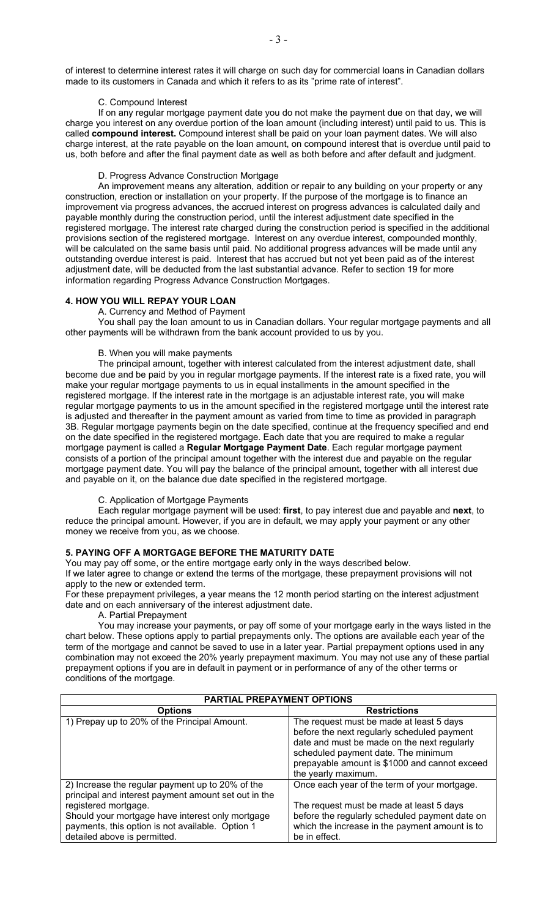of interest to determine interest rates it will charge on such day for commercial loans in Canadian dollars made to its customers in Canada and which it refers to as its "prime rate of interest".

## C. Compound Interest

If on any regular mortgage payment date you do not make the payment due on that day, we will charge you interest on any overdue portion of the loan amount (including interest) until paid to us. This is called **compound interest.** Compound interest shall be paid on your loan payment dates. We will also charge interest, at the rate payable on the loan amount, on compound interest that is overdue until paid to us, both before and after the final payment date as well as both before and after default and judgment.

# D. Progress Advance Construction Mortgage

An improvement means any alteration, addition or repair to any building on your property or any construction, erection or installation on your property. If the purpose of the mortgage is to finance an improvement via progress advances, the accrued interest on progress advances is calculated daily and payable monthly during the construction period, until the interest adjustment date specified in the registered mortgage. The interest rate charged during the construction period is specified in the additional provisions section of the registered mortgage. Interest on any overdue interest, compounded monthly, will be calculated on the same basis until paid. No additional progress advances will be made until any outstanding overdue interest is paid. Interest that has accrued but not yet been paid as of the interest adjustment date, will be deducted from the last substantial advance. Refer to section 19 for more information regarding Progress Advance Construction Mortgages.

## **4. HOW YOU WILL REPAY YOUR LOAN**

#### A. Currency and Method of Payment

You shall pay the loan amount to us in Canadian dollars. Your regular mortgage payments and all other payments will be withdrawn from the bank account provided to us by you.

## B. When you will make payments

The principal amount, together with interest calculated from the interest adjustment date, shall become due and be paid by you in regular mortgage payments. If the interest rate is a fixed rate, you will make your regular mortgage payments to us in equal installments in the amount specified in the registered mortgage. If the interest rate in the mortgage is an adjustable interest rate, you will make regular mortgage payments to us in the amount specified in the registered mortgage until the interest rate is adjusted and thereafter in the payment amount as varied from time to time as provided in paragraph 3B. Regular mortgage payments begin on the date specified, continue at the frequency specified and end on the date specified in the registered mortgage. Each date that you are required to make a regular mortgage payment is called a **Regular Mortgage Payment Date**. Each regular mortgage payment consists of a portion of the principal amount together with the interest due and payable on the regular mortgage payment date. You will pay the balance of the principal amount, together with all interest due and payable on it, on the balance due date specified in the registered mortgage.

## C. Application of Mortgage Payments

Each regular mortgage payment will be used: **first**, to pay interest due and payable and **next**, to reduce the principal amount. However, if you are in default, we may apply your payment or any other money we receive from you, as we choose.

## **5. PAYING OFF A MORTGAGE BEFORE THE MATURITY DATE**

You may pay off some, or the entire mortgage early only in the ways described below. If we later agree to change or extend the terms of the mortgage, these prepayment provisions will not apply to the new or extended term.

For these prepayment privileges, a year means the 12 month period starting on the interest adjustment date and on each anniversary of the interest adjustment date.

A. Partial Prepayment

You may increase your payments, or pay off some of your mortgage early in the ways listed in the chart below. These options apply to partial prepayments only. The options are available each year of the term of the mortgage and cannot be saved to use in a later year. Partial prepayment options used in any combination may not exceed the 20% yearly prepayment maximum. You may not use any of these partial prepayment options if you are in default in payment or in performance of any of the other terms or conditions of the mortgage.

| <b>PARTIAL PREPAYMENT OPTIONS</b>                                                                                                                                                                                                                                        |                                                                                                                                                                                                                                                       |  |  |  |
|--------------------------------------------------------------------------------------------------------------------------------------------------------------------------------------------------------------------------------------------------------------------------|-------------------------------------------------------------------------------------------------------------------------------------------------------------------------------------------------------------------------------------------------------|--|--|--|
| <b>Options</b>                                                                                                                                                                                                                                                           | <b>Restrictions</b>                                                                                                                                                                                                                                   |  |  |  |
| 1) Prepay up to 20% of the Principal Amount.                                                                                                                                                                                                                             | The request must be made at least 5 days<br>before the next regularly scheduled payment<br>date and must be made on the next regularly<br>scheduled payment date. The minimum<br>prepayable amount is \$1000 and cannot exceed<br>the yearly maximum. |  |  |  |
| 2) Increase the regular payment up to 20% of the<br>principal and interest payment amount set out in the<br>registered mortgage.<br>Should your mortgage have interest only mortgage<br>payments, this option is not available. Option 1<br>detailed above is permitted. | Once each year of the term of your mortgage.<br>The request must be made at least 5 days<br>before the regularly scheduled payment date on<br>which the increase in the payment amount is to<br>be in effect.                                         |  |  |  |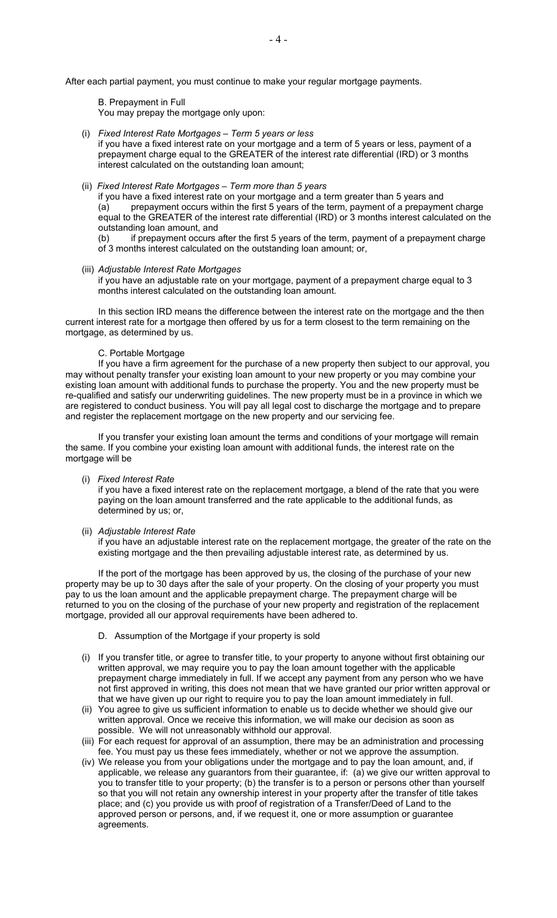After each partial payment, you must continue to make your regular mortgage payments.

B. Prepayment in Full You may prepay the mortgage only upon:

#### (i) *Fixed Interest Rate Mortgages – Term 5 years or less*

if you have a fixed interest rate on your mortgage and a term of 5 years or less, payment of a prepayment charge equal to the GREATER of the interest rate differential (IRD) or 3 months interest calculated on the outstanding loan amount;

# (ii) *Fixed Interest Rate Mortgages – Term more than 5 years*

if you have a fixed interest rate on your mortgage and a term greater than 5 years and (a) prepayment occurs within the first 5 years of the term, payment of a prepayment charge equal to the GREATER of the interest rate differential (IRD) or 3 months interest calculated on the outstanding loan amount, and

(b) if prepayment occurs after the first 5 years of the term, payment of a prepayment charge of 3 months interest calculated on the outstanding loan amount; or,

#### (iii) *Adjustable Interest Rate Mortgages*

if you have an adjustable rate on your mortgage, payment of a prepayment charge equal to 3 months interest calculated on the outstanding loan amount.

In this section IRD means the difference between the interest rate on the mortgage and the then current interest rate for a mortgage then offered by us for a term closest to the term remaining on the mortgage, as determined by us.

#### C. Portable Mortgage

If you have a firm agreement for the purchase of a new property then subject to our approval, you may without penalty transfer your existing loan amount to your new property or you may combine your existing loan amount with additional funds to purchase the property. You and the new property must be re-qualified and satisfy our underwriting guidelines. The new property must be in a province in which we are registered to conduct business. You will pay all legal cost to discharge the mortgage and to prepare and register the replacement mortgage on the new property and our servicing fee.

If you transfer your existing loan amount the terms and conditions of your mortgage will remain the same. If you combine your existing loan amount with additional funds, the interest rate on the mortgage will be

#### (i) *Fixed Interest Rate*

if you have a fixed interest rate on the replacement mortgage, a blend of the rate that you were paying on the loan amount transferred and the rate applicable to the additional funds, as determined by us; or,

#### (ii) *Adjustable Interest Rate*

if you have an adjustable interest rate on the replacement mortgage, the greater of the rate on the existing mortgage and the then prevailing adjustable interest rate, as determined by us.

If the port of the mortgage has been approved by us, the closing of the purchase of your new property may be up to 30 days after the sale of your property. On the closing of your property you must pay to us the loan amount and the applicable prepayment charge. The prepayment charge will be returned to you on the closing of the purchase of your new property and registration of the replacement mortgage, provided all our approval requirements have been adhered to.

#### D. Assumption of the Mortgage if your property is sold

- (i) If you transfer title, or agree to transfer title, to your property to anyone without first obtaining our written approval, we may require you to pay the loan amount together with the applicable prepayment charge immediately in full. If we accept any payment from any person who we have not first approved in writing, this does not mean that we have granted our prior written approval or that we have given up our right to require you to pay the loan amount immediately in full.
- (ii) You agree to give us sufficient information to enable us to decide whether we should give our written approval. Once we receive this information, we will make our decision as soon as possible. We will not unreasonably withhold our approval.
- (iii) For each request for approval of an assumption, there may be an administration and processing fee. You must pay us these fees immediately, whether or not we approve the assumption.
- (iv) We release you from your obligations under the mortgage and to pay the loan amount, and, if applicable, we release any guarantors from their guarantee, if: (a) we give our written approval to you to transfer title to your property; (b) the transfer is to a person or persons other than yourself so that you will not retain any ownership interest in your property after the transfer of title takes place; and (c) you provide us with proof of registration of a Transfer/Deed of Land to the approved person or persons, and, if we request it, one or more assumption or guarantee agreements.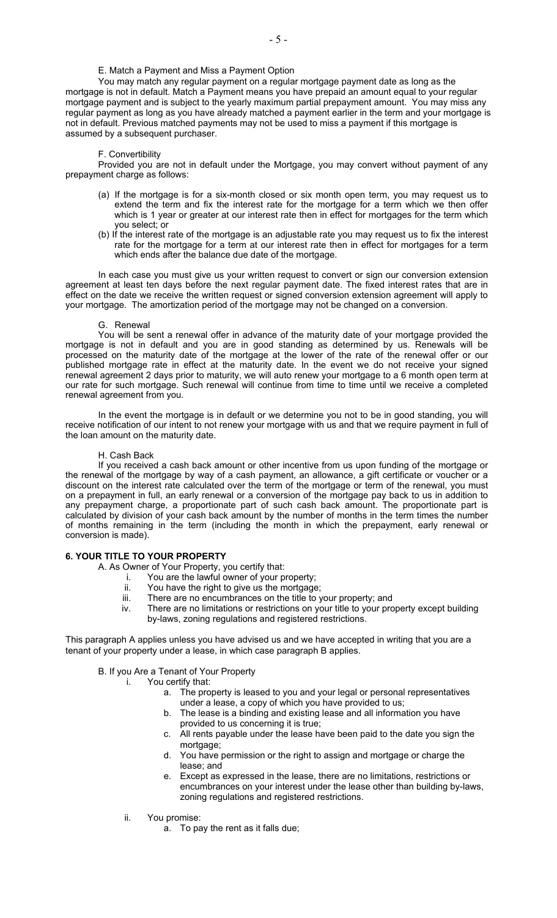E. Match a Payment and Miss a Payment Option

You may match any regular payment on a regular mortgage payment date as long as the mortgage is not in default. Match a Payment means you have prepaid an amount equal to your regular mortgage payment and is subject to the yearly maximum partial prepayment amount. You may miss any regular payment as long as you have already matched a payment earlier in the term and your mortgage is not in default. Previous matched payments may not be used to miss a payment if this mortgage is assumed by a subsequent purchaser.

#### F. Convertibility

Provided you are not in default under the Mortgage, you may convert without payment of any prepayment charge as follows:

- (a) If the mortgage is for a six-month closed or six month open term, you may request us to extend the term and fix the interest rate for the mortgage for a term which we then offer which is 1 year or greater at our interest rate then in effect for mortgages for the term which you select; or
- (b) If the interest rate of the mortgage is an adjustable rate you may request us to fix the interest rate for the mortgage for a term at our interest rate then in effect for mortgages for a term which ends after the balance due date of the mortgage.

In each case you must give us your written request to convert or sign our conversion extension agreement at least ten days before the next regular payment date. The fixed interest rates that are in effect on the date we receive the written request or signed conversion extension agreement will apply to your mortgage. The amortization period of the mortgage may not be changed on a conversion.

#### G. Renewal

You will be sent a renewal offer in advance of the maturity date of your mortgage provided the mortgage is not in default and you are in good standing as determined by us. Renewals will be processed on the maturity date of the mortgage at the lower of the rate of the renewal offer or our published mortgage rate in effect at the maturity date. In the event we do not receive your signed renewal agreement 2 days prior to maturity, we will auto renew your mortgage to a 6 month open term at our rate for such mortgage. Such renewal will continue from time to time until we receive a completed renewal agreement from you.

In the event the mortgage is in default or we determine you not to be in good standing, you will receive notification of our intent to not renew your mortgage with us and that we require payment in full of the loan amount on the maturity date.

#### H. Cash Back

 If you received a cash back amount or other incentive from us upon funding of the mortgage or the renewal of the mortgage by way of a cash payment, an allowance, a gift certificate or voucher or a discount on the interest rate calculated over the term of the mortgage or term of the renewal, you must on a prepayment in full, an early renewal or a conversion of the mortgage pay back to us in addition to any prepayment charge, a proportionate part of such cash back amount. The proportionate part is calculated by division of your cash back amount by the number of months in the term times the number of months remaining in the term (including the month in which the prepayment, early renewal or conversion is made).

## **6. YOUR TITLE TO YOUR PROPERTY**

- A. As Owner of Your Property, you certify that:
	- i. You are the lawful owner of your property;
	- ii. You have the right to give us the mortgage;
	- iii. There are no encumbrances on the title to your property; and
	- iv. There are no limitations or restrictions on your title to your property except building by-laws, zoning regulations and registered restrictions.

This paragraph A applies unless you have advised us and we have accepted in writing that you are a tenant of your property under a lease, in which case paragraph B applies.

# B. If you Are a Tenant of Your Property

- i. You certify that:
	- a. The property is leased to you and your legal or personal representatives under a lease, a copy of which you have provided to us;
	- b. The lease is a binding and existing lease and all information you have provided to us concerning it is true;
	- c. All rents payable under the lease have been paid to the date you sign the mortgage;
	- d. You have permission or the right to assign and mortgage or charge the lease; and
	- e. Except as expressed in the lease, there are no limitations, restrictions or encumbrances on your interest under the lease other than building by-laws, zoning regulations and registered restrictions.
	- ii. You promise:
		- a. To pay the rent as it falls due;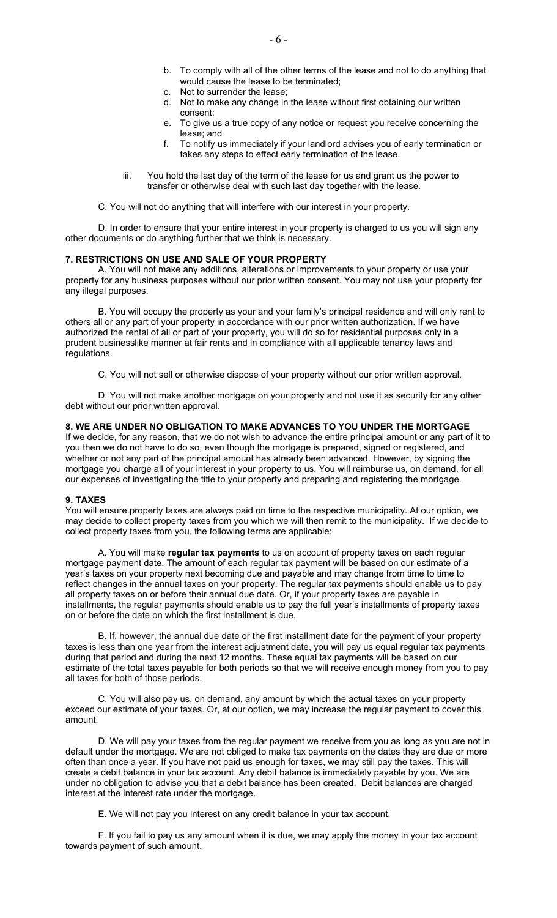- b. To comply with all of the other terms of the lease and not to do anything that would cause the lease to be terminated;
- c. Not to surrender the lease;
- d. Not to make any change in the lease without first obtaining our written consent;
- e. To give us a true copy of any notice or request you receive concerning the lease; and
- f. To notify us immediately if your landlord advises you of early termination or takes any steps to effect early termination of the lease.
- iii. You hold the last day of the term of the lease for us and grant us the power to transfer or otherwise deal with such last day together with the lease.
- C. You will not do anything that will interfere with our interest in your property.

D. In order to ensure that your entire interest in your property is charged to us you will sign any other documents or do anything further that we think is necessary.

## **7. RESTRICTIONS ON USE AND SALE OF YOUR PROPERTY**

A. You will not make any additions, alterations or improvements to your property or use your property for any business purposes without our prior written consent. You may not use your property for any illegal purposes.

B. You will occupy the property as your and your family's principal residence and will only rent to others all or any part of your property in accordance with our prior written authorization. If we have authorized the rental of all or part of your property, you will do so for residential purposes only in a prudent businesslike manner at fair rents and in compliance with all applicable tenancy laws and regulations.

C. You will not sell or otherwise dispose of your property without our prior written approval.

D. You will not make another mortgage on your property and not use it as security for any other debt without our prior written approval.

# **8. WE ARE UNDER NO OBLIGATION TO MAKE ADVANCES TO YOU UNDER THE MORTGAGE**

If we decide, for any reason, that we do not wish to advance the entire principal amount or any part of it to you then we do not have to do so, even though the mortgage is prepared, signed or registered, and whether or not any part of the principal amount has already been advanced. However, by signing the mortgage you charge all of your interest in your property to us. You will reimburse us, on demand, for all our expenses of investigating the title to your property and preparing and registering the mortgage.

#### **9. TAXES**

You will ensure property taxes are always paid on time to the respective municipality. At our option, we may decide to collect property taxes from you which we will then remit to the municipality. If we decide to collect property taxes from you, the following terms are applicable:

A. You will make **regular tax payments** to us on account of property taxes on each regular mortgage payment date. The amount of each regular tax payment will be based on our estimate of a year's taxes on your property next becoming due and payable and may change from time to time to reflect changes in the annual taxes on your property. The regular tax payments should enable us to pay all property taxes on or before their annual due date. Or, if your property taxes are payable in installments, the regular payments should enable us to pay the full year's installments of property taxes on or before the date on which the first installment is due.

B. If, however, the annual due date or the first installment date for the payment of your property taxes is less than one year from the interest adjustment date, you will pay us equal regular tax payments during that period and during the next 12 months. These equal tax payments will be based on our estimate of the total taxes payable for both periods so that we will receive enough money from you to pay all taxes for both of those periods.

C. You will also pay us, on demand, any amount by which the actual taxes on your property exceed our estimate of your taxes. Or, at our option, we may increase the regular payment to cover this amount.

D. We will pay your taxes from the regular payment we receive from you as long as you are not in default under the mortgage. We are not obliged to make tax payments on the dates they are due or more often than once a year. If you have not paid us enough for taxes, we may still pay the taxes. This will create a debit balance in your tax account. Any debit balance is immediately payable by you. We are under no obligation to advise you that a debit balance has been created. Debit balances are charged interest at the interest rate under the mortgage.

E. We will not pay you interest on any credit balance in your tax account.

F. If you fail to pay us any amount when it is due, we may apply the money in your tax account towards payment of such amount.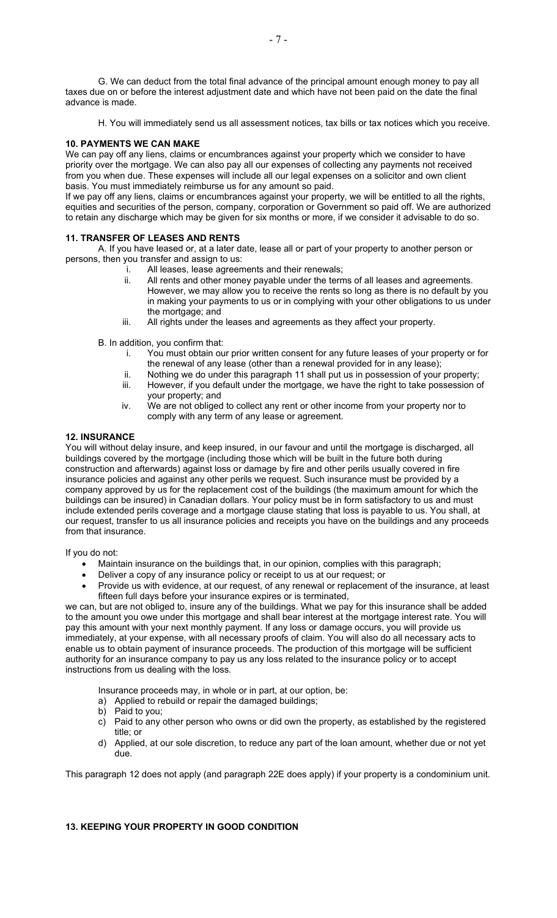G. We can deduct from the total final advance of the principal amount enough money to pay all taxes due on or before the interest adjustment date and which have not been paid on the date the final advance is made.

H. You will immediately send us all assessment notices, tax bills or tax notices which you receive.

## **10. PAYMENTS WE CAN MAKE**

We can pay off any liens, claims or encumbrances against your property which we consider to have priority over the mortgage. We can also pay all our expenses of collecting any payments not received from you when due. These expenses will include all our legal expenses on a solicitor and own client basis. You must immediately reimburse us for any amount so paid.

If we pay off any liens, claims or encumbrances against your property, we will be entitled to all the rights, equities and securities of the person, company, corporation or Government so paid off. We are authorized to retain any discharge which may be given for six months or more, if we consider it advisable to do so.

### **11. TRANSFER OF LEASES AND RENTS**

A. If you have leased or, at a later date, lease all or part of your property to another person or persons, then you transfer and assign to us:

- i. All leases, lease agreements and their renewals;
- ii. All rents and other money payable under the terms of all leases and agreements. However, we may allow you to receive the rents so long as there is no default by you in making your payments to us or in complying with your other obligations to us under the mortgage; and
- iii. All rights under the leases and agreements as they affect your property.

B. In addition, you confirm that:

- i. You must obtain our prior written consent for any future leases of your property or for the renewal of any lease (other than a renewal provided for in any lease);
- ii. Nothing we do under this paragraph 11 shall put us in possession of your property; iii. However, if you default under the mortgage, we have the right to take possession of
- your property; and
- iv. We are not obliged to collect any rent or other income from your property nor to comply with any term of any lease or agreement.

#### **12. INSURANCE**

You will without delay insure, and keep insured, in our favour and until the mortgage is discharged, all buildings covered by the mortgage (including those which will be built in the future both during construction and afterwards) against loss or damage by fire and other perils usually covered in fire insurance policies and against any other perils we request. Such insurance must be provided by a company approved by us for the replacement cost of the buildings (the maximum amount for which the buildings can be insured) in Canadian dollars. Your policy must be in form satisfactory to us and must include extended perils coverage and a mortgage clause stating that loss is payable to us. You shall, at our request, transfer to us all insurance policies and receipts you have on the buildings and any proceeds from that insurance.

If you do not:

- Maintain insurance on the buildings that, in our opinion, complies with this paragraph;
- Deliver a copy of any insurance policy or receipt to us at our request; or
- Provide us with evidence, at our request, of any renewal or replacement of the insurance, at least fifteen full days before your insurance expires or is terminated,

we can, but are not obliged to, insure any of the buildings. What we pay for this insurance shall be added to the amount you owe under this mortgage and shall bear interest at the mortgage interest rate. You will pay this amount with your next monthly payment. If any loss or damage occurs, you will provide us immediately, at your expense, with all necessary proofs of claim. You will also do all necessary acts to enable us to obtain payment of insurance proceeds. The production of this mortgage will be sufficient authority for an insurance company to pay us any loss related to the insurance policy or to accept instructions from us dealing with the loss.

Insurance proceeds may, in whole or in part, at our option, be:

- a) Applied to rebuild or repair the damaged buildings;
- b) Paid to you;
- c) Paid to any other person who owns or did own the property, as established by the registered title; or
- d) Applied, at our sole discretion, to reduce any part of the loan amount, whether due or not yet due.

This paragraph 12 does not apply (and paragraph 22E does apply) if your property is a condominium unit.

# **13. KEEPING YOUR PROPERTY IN GOOD CONDITION**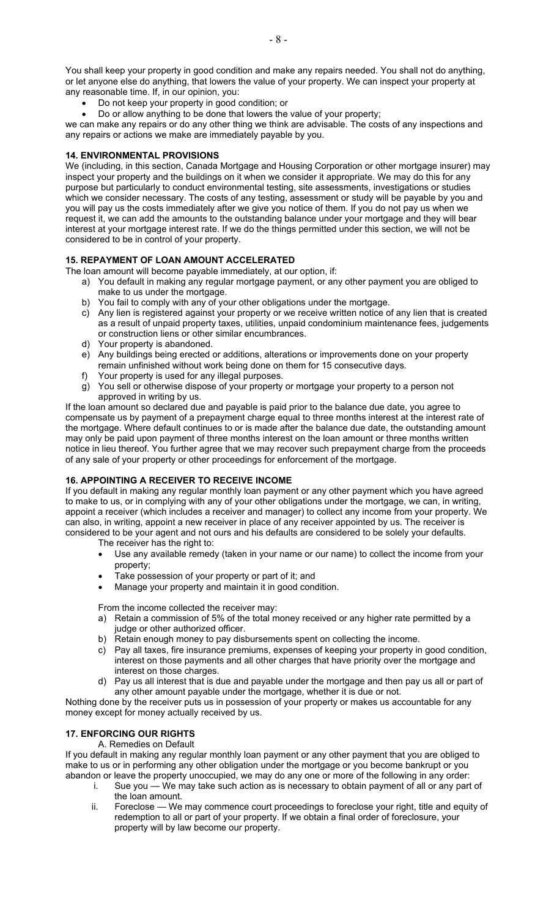You shall keep your property in good condition and make any repairs needed. You shall not do anything, or let anyone else do anything, that lowers the value of your property. We can inspect your property at any reasonable time. If, in our opinion, you:

- Do not keep your property in good condition; or
- Do or allow anything to be done that lowers the value of your property;

we can make any repairs or do any other thing we think are advisable. The costs of any inspections and any repairs or actions we make are immediately payable by you.

## **14. ENVIRONMENTAL PROVISIONS**

We (including, in this section, Canada Mortgage and Housing Corporation or other mortgage insurer) may inspect your property and the buildings on it when we consider it appropriate. We may do this for any purpose but particularly to conduct environmental testing, site assessments, investigations or studies which we consider necessary. The costs of any testing, assessment or study will be payable by you and you will pay us the costs immediately after we give you notice of them. If you do not pay us when we request it, we can add the amounts to the outstanding balance under your mortgage and they will bear interest at your mortgage interest rate. If we do the things permitted under this section, we will not be considered to be in control of your property.

# **15. REPAYMENT OF LOAN AMOUNT ACCELERATED**

The loan amount will become payable immediately, at our option, if:

- a) You default in making any regular mortgage payment, or any other payment you are obliged to make to us under the mortgage.
- b) You fail to comply with any of your other obligations under the mortgage.
- c) Any lien is registered against your property or we receive written notice of any lien that is created as a result of unpaid property taxes, utilities, unpaid condominium maintenance fees, judgements or construction liens or other similar encumbrances.
- d) Your property is abandoned.
- e) Any buildings being erected or additions, alterations or improvements done on your property remain unfinished without work being done on them for 15 consecutive days.
- f) Your property is used for any illegal purposes.
- g) You sell or otherwise dispose of your property or mortgage your property to a person not approved in writing by us.

If the loan amount so declared due and payable is paid prior to the balance due date, you agree to compensate us by payment of a prepayment charge equal to three months interest at the interest rate of the mortgage. Where default continues to or is made after the balance due date, the outstanding amount may only be paid upon payment of three months interest on the loan amount or three months written notice in lieu thereof. You further agree that we may recover such prepayment charge from the proceeds of any sale of your property or other proceedings for enforcement of the mortgage.

# **16. APPOINTING A RECEIVER TO RECEIVE INCOME**

If you default in making any regular monthly loan payment or any other payment which you have agreed to make to us, or in complying with any of your other obligations under the mortgage, we can, in writing, appoint a receiver (which includes a receiver and manager) to collect any income from your property. We can also, in writing, appoint a new receiver in place of any receiver appointed by us. The receiver is considered to be your agent and not ours and his defaults are considered to be solely your defaults.

The receiver has the right to:

- Use any available remedy (taken in your name or our name) to collect the income from your property;
- Take possession of your property or part of it; and
- Manage your property and maintain it in good condition.

From the income collected the receiver may:

- a) Retain a commission of 5% of the total money received or any higher rate permitted by a judge or other authorized officer.
- b) Retain enough money to pay disbursements spent on collecting the income.
- c) Pay all taxes, fire insurance premiums, expenses of keeping your property in good condition, interest on those payments and all other charges that have priority over the mortgage and interest on those charges.
- d) Pay us all interest that is due and payable under the mortgage and then pay us all or part of any other amount payable under the mortgage, whether it is due or not.

Nothing done by the receiver puts us in possession of your property or makes us accountable for any money except for money actually received by us.

# **17. ENFORCING OUR RIGHTS**

A. Remedies on Default

If you default in making any regular monthly loan payment or any other payment that you are obliged to make to us or in performing any other obligation under the mortgage or you become bankrupt or you abandon or leave the property unoccupied, we may do any one or more of the following in any order:

- i. Sue you We may take such action as is necessary to obtain payment of all or any part of the loan amount.
- ii. Foreclose We may commence court proceedings to foreclose your right, title and equity of redemption to all or part of your property. If we obtain a final order of foreclosure, your property will by law become our property.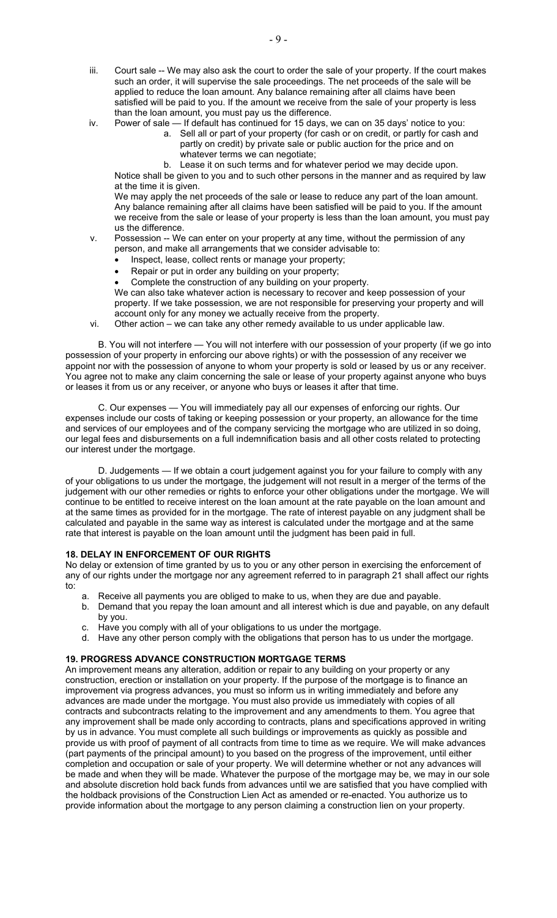- iii. Court sale -- We may also ask the court to order the sale of your property. If the court makes such an order, it will supervise the sale proceedings. The net proceeds of the sale will be applied to reduce the loan amount. Any balance remaining after all claims have been satisfied will be paid to you. If the amount we receive from the sale of your property is less than the loan amount, you must pay us the difference.
- iv. Power of sale If default has continued for 15 days, we can on 35 days' notice to you:
	- a. Sell all or part of your property (for cash or on credit, or partly for cash and partly on credit) by private sale or public auction for the price and on whatever terms we can negotiate;
	- b. Lease it on such terms and for whatever period we may decide upon.

Notice shall be given to you and to such other persons in the manner and as required by law at the time it is given.

We may apply the net proceeds of the sale or lease to reduce any part of the loan amount. Any balance remaining after all claims have been satisfied will be paid to you. If the amount we receive from the sale or lease of your property is less than the loan amount, you must pay us the difference.

#### v. Possession -- We can enter on your property at any time, without the permission of any person, and make all arrangements that we consider advisable to:

- Inspect, lease, collect rents or manage your property;
- Repair or put in order any building on your property;
	- Complete the construction of any building on your property.

We can also take whatever action is necessary to recover and keep possession of your property. If we take possession, we are not responsible for preserving your property and will account only for any money we actually receive from the property.

vi. Other action – we can take any other remedy available to us under applicable law.

B. You will not interfere — You will not interfere with our possession of your property (if we go into possession of your property in enforcing our above rights) or with the possession of any receiver we appoint nor with the possession of anyone to whom your property is sold or leased by us or any receiver. You agree not to make any claim concerning the sale or lease of your property against anyone who buys or leases it from us or any receiver, or anyone who buys or leases it after that time.

C. Our expenses — You will immediately pay all our expenses of enforcing our rights. Our expenses include our costs of taking or keeping possession or your property, an allowance for the time and services of our employees and of the company servicing the mortgage who are utilized in so doing, our legal fees and disbursements on a full indemnification basis and all other costs related to protecting our interest under the mortgage.

D. Judgements — If we obtain a court judgement against you for your failure to comply with any of your obligations to us under the mortgage, the judgement will not result in a merger of the terms of the judgement with our other remedies or rights to enforce your other obligations under the mortgage. We will continue to be entitled to receive interest on the loan amount at the rate payable on the loan amount and at the same times as provided for in the mortgage. The rate of interest payable on any judgment shall be calculated and payable in the same way as interest is calculated under the mortgage and at the same rate that interest is payable on the loan amount until the judgment has been paid in full.

# **18. DELAY IN ENFORCEMENT OF OUR RIGHTS**

No delay or extension of time granted by us to you or any other person in exercising the enforcement of any of our rights under the mortgage nor any agreement referred to in paragraph 21 shall affect our rights to:

- a. Receive all payments you are obliged to make to us, when they are due and payable.
- b. Demand that you repay the loan amount and all interest which is due and payable, on any default by you.
- c. Have you comply with all of your obligations to us under the mortgage.
- d. Have any other person comply with the obligations that person has to us under the mortgage.

# **19. PROGRESS ADVANCE CONSTRUCTION MORTGAGE TERMS**

An improvement means any alteration, addition or repair to any building on your property or any construction, erection or installation on your property. If the purpose of the mortgage is to finance an improvement via progress advances, you must so inform us in writing immediately and before any advances are made under the mortgage. You must also provide us immediately with copies of all contracts and subcontracts relating to the improvement and any amendments to them. You agree that any improvement shall be made only according to contracts, plans and specifications approved in writing by us in advance. You must complete all such buildings or improvements as quickly as possible and provide us with proof of payment of all contracts from time to time as we require. We will make advances (part payments of the principal amount) to you based on the progress of the improvement, until either completion and occupation or sale of your property. We will determine whether or not any advances will be made and when they will be made. Whatever the purpose of the mortgage may be, we may in our sole and absolute discretion hold back funds from advances until we are satisfied that you have complied with the holdback provisions of the Construction Lien Act as amended or re-enacted. You authorize us to provide information about the mortgage to any person claiming a construction lien on your property.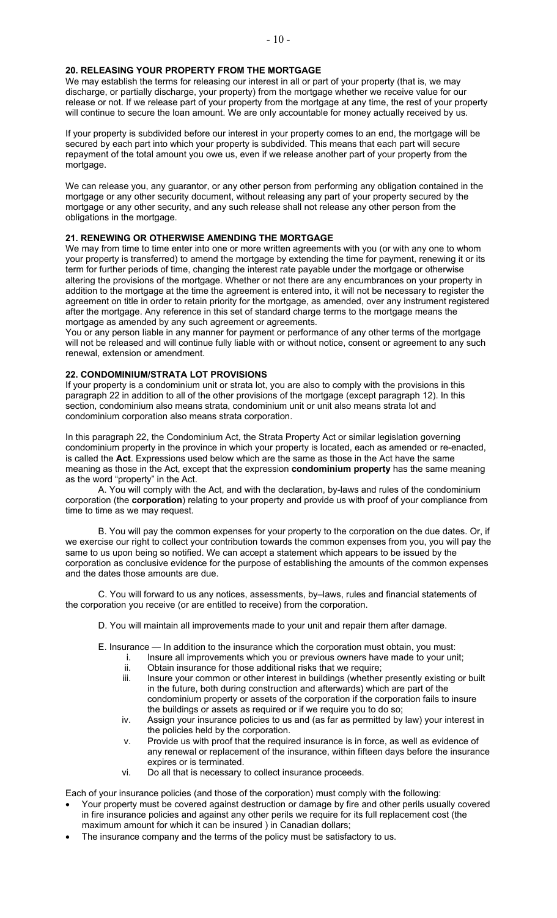## **20. RELEASING YOUR PROPERTY FROM THE MORTGAGE**

We may establish the terms for releasing our interest in all or part of your property (that is, we may discharge, or partially discharge, your property) from the mortgage whether we receive value for our release or not. If we release part of your property from the mortgage at any time, the rest of your property will continue to secure the loan amount. We are only accountable for money actually received by us.

If your property is subdivided before our interest in your property comes to an end, the mortgage will be secured by each part into which your property is subdivided. This means that each part will secure repayment of the total amount you owe us, even if we release another part of your property from the mortgage.

We can release you, any guarantor, or any other person from performing any obligation contained in the mortgage or any other security document, without releasing any part of your property secured by the mortgage or any other security, and any such release shall not release any other person from the obligations in the mortgage.

## **21. RENEWING OR OTHERWISE AMENDING THE MORTGAGE**

We may from time to time enter into one or more written agreements with you (or with any one to whom your property is transferred) to amend the mortgage by extending the time for payment, renewing it or its term for further periods of time, changing the interest rate payable under the mortgage or otherwise altering the provisions of the mortgage. Whether or not there are any encumbrances on your property in addition to the mortgage at the time the agreement is entered into, it will not be necessary to register the agreement on title in order to retain priority for the mortgage, as amended, over any instrument registered after the mortgage. Any reference in this set of standard charge terms to the mortgage means the mortgage as amended by any such agreement or agreements.

You or any person liable in any manner for payment or performance of any other terms of the mortgage will not be released and will continue fully liable with or without notice, consent or agreement to any such renewal, extension or amendment.

# **22. CONDOMINIUM/STRATA LOT PROVISIONS**

If your property is a condominium unit or strata lot, you are also to comply with the provisions in this paragraph 22 in addition to all of the other provisions of the mortgage (except paragraph 12). In this section, condominium also means strata, condominium unit or unit also means strata lot and condominium corporation also means strata corporation.

In this paragraph 22, the Condominium Act, the Strata Property Act or similar legislation governing condominium property in the province in which your property is located, each as amended or re-enacted, is called the **Act**. Expressions used below which are the same as those in the Act have the same meaning as those in the Act, except that the expression **condominium property** has the same meaning as the word "property" in the Act.

A. You will comply with the Act, and with the declaration, by-laws and rules of the condominium corporation (the **corporation**) relating to your property and provide us with proof of your compliance from time to time as we may request.

B. You will pay the common expenses for your property to the corporation on the due dates. Or, if we exercise our right to collect your contribution towards the common expenses from you, you will pay the same to us upon being so notified. We can accept a statement which appears to be issued by the corporation as conclusive evidence for the purpose of establishing the amounts of the common expenses and the dates those amounts are due.

C. You will forward to us any notices, assessments, by–laws, rules and financial statements of the corporation you receive (or are entitled to receive) from the corporation.

D. You will maintain all improvements made to your unit and repair them after damage.

E. Insurance — In addition to the insurance which the corporation must obtain, you must:

- i. Insure all improvements which you or previous owners have made to your unit; ii. Obtain insurance for those additional risks that we require;
	- iii. Insure your common or other interest in buildings (whether presently existing or built in the future, both during construction and afterwards) which are part of the condominium property or assets of the corporation if the corporation fails to insure the buildings or assets as required or if we require you to do so;
- iv. Assign your insurance policies to us and (as far as permitted by law) your interest in the policies held by the corporation.
- v. Provide us with proof that the required insurance is in force, as well as evidence of any renewal or replacement of the insurance, within fifteen days before the insurance expires or is terminated.
- vi. Do all that is necessary to collect insurance proceeds.

Each of your insurance policies (and those of the corporation) must comply with the following:

- Your property must be covered against destruction or damage by fire and other perils usually covered in fire insurance policies and against any other perils we require for its full replacement cost (the maximum amount for which it can be insured ) in Canadian dollars;
- The insurance company and the terms of the policy must be satisfactory to us.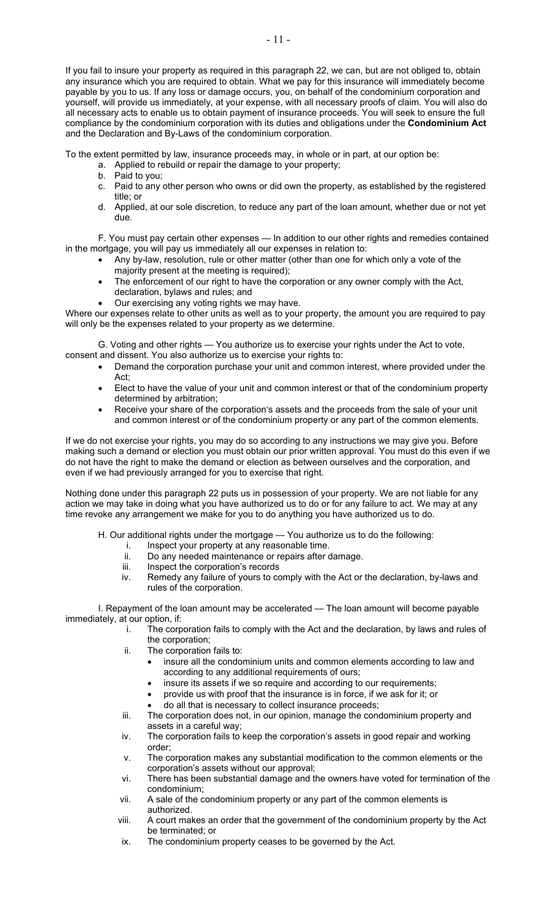If you fail to insure your property as required in this paragraph 22, we can, but are not obliged to, obtain any insurance which you are required to obtain. What we pay for this insurance will immediately become payable by you to us. If any loss or damage occurs, you, on behalf of the condominium corporation and yourself, will provide us immediately, at your expense, with all necessary proofs of claim. You will also do all necessary acts to enable us to obtain payment of insurance proceeds. You will seek to ensure the full compliance by the condominium corporation with its duties and obligations under the **Condominium Act**  and the Declaration and By-Laws of the condominium corporation.

To the extent permitted by law, insurance proceeds may, in whole or in part, at our option be:

- a. Applied to rebuild or repair the damage to your property;
	- b. Paid to you;
	- c. Paid to any other person who owns or did own the property, as established by the registered title; or
	- d. Applied, at our sole discretion, to reduce any part of the loan amount, whether due or not yet due.

F. You must pay certain other expenses — In addition to our other rights and remedies contained in the mortgage, you will pay us immediately all our expenses in relation to:

- Any by-law, resolution, rule or other matter (other than one for which only a vote of the majority present at the meeting is required);
	- The enforcement of our right to have the corporation or any owner comply with the Act,
	- declaration, bylaws and rules; and
	- Our exercising any voting rights we may have.

Where our expenses relate to other units as well as to your property, the amount you are required to pay will only be the expenses related to your property as we determine.

G. Voting and other rights — You authorize us to exercise your rights under the Act to vote, consent and dissent. You also authorize us to exercise your rights to:

- Demand the corporation purchase your unit and common interest, where provided under the Act;
- Elect to have the value of your unit and common interest or that of the condominium property determined by arbitration;
- Receive your share of the corporation's assets and the proceeds from the sale of your unit and common interest or of the condominium property or any part of the common elements.

If we do not exercise your rights, you may do so according to any instructions we may give you. Before making such a demand or election you must obtain our prior written approval. You must do this even if we do not have the right to make the demand or election as between ourselves and the corporation, and even if we had previously arranged for you to exercise that right.

Nothing done under this paragraph 22 puts us in possession of your property. We are not liable for any action we may take in doing what you have authorized us to do or for any failure to act. We may at any time revoke any arrangement we make for you to do anything you have authorized us to do.

H. Our additional rights under the mortgage — You authorize us to do the following:

- i. Inspect your property at any reasonable time.
- ii. Do any needed maintenance or repairs after damage.
- iii. Inspect the corporation's records
- iv. Remedy any failure of yours to comply with the Act or the declaration, by-laws and rules of the corporation.

I. Repayment of the loan amount may be accelerated — The loan amount will become payable immediately, at our option, if:

- i. The corporation fails to comply with the Act and the declaration, by laws and rules of the corporation;
- ii. The corporation fails to:
	- insure all the condominium units and common elements according to law and according to any additional requirements of ours;
		- insure its assets if we so require and according to our requirements;
	- provide us with proof that the insurance is in force, if we ask for it; or
	- do all that is necessary to collect insurance proceeds;
- iii. The corporation does not, in our opinion, manage the condominium property and assets in a careful way;
- iv. The corporation fails to keep the corporation's assets in good repair and working order;
- v. The corporation makes any substantial modification to the common elements or the corporation's assets without our approval;
- vi. There has been substantial damage and the owners have voted for termination of the condominium;
- vii. A sale of the condominium property or any part of the common elements is authorized.
- viii. A court makes an order that the government of the condominium property by the Act be terminated; or
- ix. The condominium property ceases to be governed by the Act.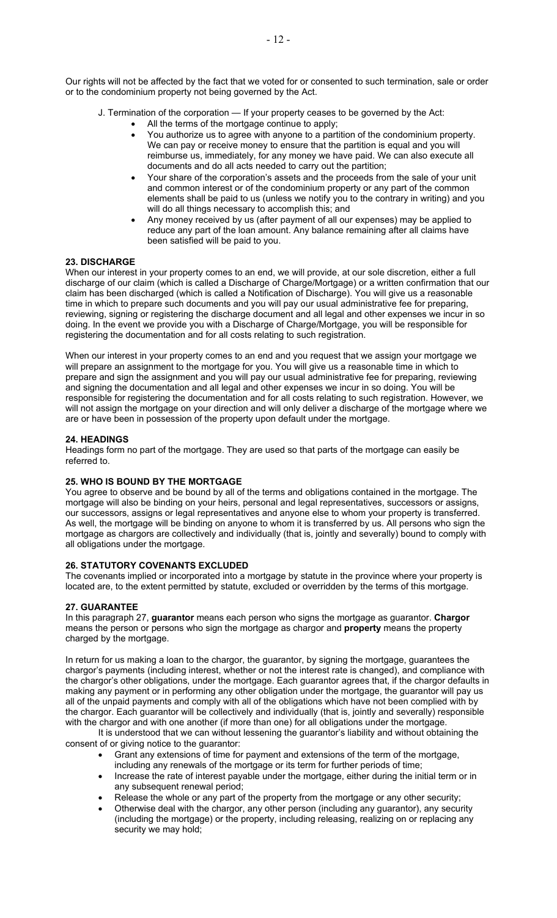Our rights will not be affected by the fact that we voted for or consented to such termination, sale or order or to the condominium property not being governed by the Act.

- J. Termination of the corporation If your property ceases to be governed by the Act:
	- All the terms of the mortgage continue to apply;
		- You authorize us to agree with anyone to a partition of the condominium property. We can pay or receive money to ensure that the partition is equal and you will reimburse us, immediately, for any money we have paid. We can also execute all documents and do all acts needed to carry out the partition;
		- Your share of the corporation's assets and the proceeds from the sale of your unit and common interest or of the condominium property or any part of the common elements shall be paid to us (unless we notify you to the contrary in writing) and you will do all things necessary to accomplish this; and
		- Any money received by us (after payment of all our expenses) may be applied to reduce any part of the loan amount. Any balance remaining after all claims have been satisfied will be paid to you.

# **23. DISCHARGE**

When our interest in your property comes to an end, we will provide, at our sole discretion, either a full discharge of our claim (which is called a Discharge of Charge/Mortgage) or a written confirmation that our claim has been discharged (which is called a Notification of Discharge). You will give us a reasonable time in which to prepare such documents and you will pay our usual administrative fee for preparing, reviewing, signing or registering the discharge document and all legal and other expenses we incur in so doing. In the event we provide you with a Discharge of Charge/Mortgage, you will be responsible for registering the documentation and for all costs relating to such registration.

When our interest in your property comes to an end and you request that we assign your mortgage we will prepare an assignment to the mortgage for you. You will give us a reasonable time in which to prepare and sign the assignment and you will pay our usual administrative fee for preparing, reviewing and signing the documentation and all legal and other expenses we incur in so doing. You will be responsible for registering the documentation and for all costs relating to such registration. However, we will not assign the mortgage on your direction and will only deliver a discharge of the mortgage where we are or have been in possession of the property upon default under the mortgage.

## **24. HEADINGS**

Headings form no part of the mortgage. They are used so that parts of the mortgage can easily be referred to.

## **25. WHO IS BOUND BY THE MORTGAGE**

You agree to observe and be bound by all of the terms and obligations contained in the mortgage. The mortgage will also be binding on your heirs, personal and legal representatives, successors or assigns, our successors, assigns or legal representatives and anyone else to whom your property is transferred. As well, the mortgage will be binding on anyone to whom it is transferred by us. All persons who sign the mortgage as chargors are collectively and individually (that is, jointly and severally) bound to comply with all obligations under the mortgage.

## **26. STATUTORY COVENANTS EXCLUDED**

The covenants implied or incorporated into a mortgage by statute in the province where your property is located are, to the extent permitted by statute, excluded or overridden by the terms of this mortgage.

# **27. GUARANTEE**

In this paragraph 27, **guarantor** means each person who signs the mortgage as guarantor. **Chargor**  means the person or persons who sign the mortgage as chargor and **property** means the property charged by the mortgage.

In return for us making a loan to the chargor, the guarantor, by signing the mortgage, guarantees the chargor's payments (including interest, whether or not the interest rate is changed), and compliance with the chargor's other obligations, under the mortgage. Each guarantor agrees that, if the chargor defaults in making any payment or in performing any other obligation under the mortgage, the guarantor will pay us all of the unpaid payments and comply with all of the obligations which have not been complied with by the chargor. Each guarantor will be collectively and individually (that is, jointly and severally) responsible with the chargor and with one another (if more than one) for all obligations under the mortgage.

It is understood that we can without lessening the guarantor's liability and without obtaining the consent of or giving notice to the guarantor:

- Grant any extensions of time for payment and extensions of the term of the mortgage, including any renewals of the mortgage or its term for further periods of time;
- Increase the rate of interest payable under the mortgage, either during the initial term or in any subsequent renewal period;
- Release the whole or any part of the property from the mortgage or any other security;
- Otherwise deal with the chargor, any other person (including any guarantor), any security (including the mortgage) or the property, including releasing, realizing on or replacing any security we may hold;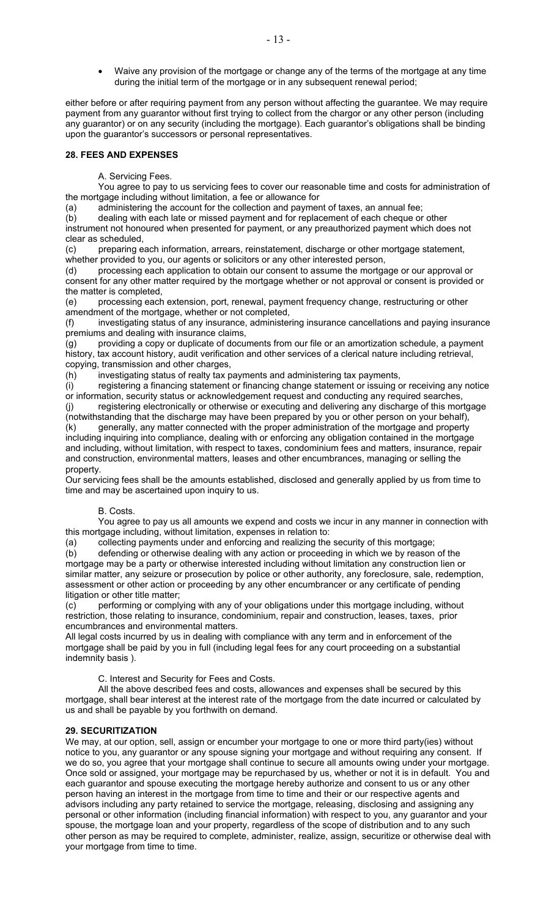• Waive any provision of the mortgage or change any of the terms of the mortgage at any time during the initial term of the mortgage or in any subsequent renewal period;

either before or after requiring payment from any person without affecting the guarantee. We may require payment from any guarantor without first trying to collect from the chargor or any other person (including any guarantor) or on any security (including the mortgage). Each guarantor's obligations shall be binding upon the guarantor's successors or personal representatives.

# **28. FEES AND EXPENSES**

A. Servicing Fees.

 You agree to pay to us servicing fees to cover our reasonable time and costs for administration of the mortgage including without limitation, a fee or allowance for

(a) administering the account for the collection and payment of taxes, an annual fee;

(b) dealing with each late or missed payment and for replacement of each cheque or other instrument not honoured when presented for payment, or any preauthorized payment which does not clear as scheduled,

(c) preparing each information, arrears, reinstatement, discharge or other mortgage statement, whether provided to you, our agents or solicitors or any other interested person,

(d) processing each application to obtain our consent to assume the mortgage or our approval or consent for any other matter required by the mortgage whether or not approval or consent is provided or the matter is completed,

(e) processing each extension, port, renewal, payment frequency change, restructuring or other amendment of the mortgage, whether or not completed,

(f) investigating status of any insurance, administering insurance cancellations and paying insurance premiums and dealing with insurance claims,

(g) providing a copy or duplicate of documents from our file or an amortization schedule, a payment history, tax account history, audit verification and other services of a clerical nature including retrieval, copying, transmission and other charges,

(h) investigating status of realty tax payments and administering tax payments,

(i) registering a financing statement or financing change statement or issuing or receiving any notice or information, security status or acknowledgement request and conducting any required searches, (j) registering electronically or otherwise or executing and delivering any discharge of this mortgage

(notwithstanding that the discharge may have been prepared by you or other person on your behalf), (k) generally, any matter connected with the proper administration of the mortgage and property including inquiring into compliance, dealing with or enforcing any obligation contained in the mortgage and including, without limitation, with respect to taxes, condominium fees and matters, insurance, repair and construction, environmental matters, leases and other encumbrances, managing or selling the property.

Our servicing fees shall be the amounts established, disclosed and generally applied by us from time to time and may be ascertained upon inquiry to us.

# B. Costs.

 You agree to pay us all amounts we expend and costs we incur in any manner in connection with this mortgage including, without limitation, expenses in relation to:

(a) collecting payments under and enforcing and realizing the security of this mortgage;

(b) defending or otherwise dealing with any action or proceeding in which we by reason of the mortgage may be a party or otherwise interested including without limitation any construction lien or similar matter, any seizure or prosecution by police or other authority, any foreclosure, sale, redemption, assessment or other action or proceeding by any other encumbrancer or any certificate of pending litigation or other title matter;

(c) performing or complying with any of your obligations under this mortgage including, without restriction, those relating to insurance, condominium, repair and construction, leases, taxes, prior encumbrances and environmental matters.

All legal costs incurred by us in dealing with compliance with any term and in enforcement of the mortgage shall be paid by you in full (including legal fees for any court proceeding on a substantial indemnity basis ).

C. Interest and Security for Fees and Costs.

 All the above described fees and costs, allowances and expenses shall be secured by this mortgage, shall bear interest at the interest rate of the mortgage from the date incurred or calculated by us and shall be payable by you forthwith on demand.

# **29. SECURITIZATION**

We may, at our option, sell, assign or encumber your mortgage to one or more third party(ies) without notice to you, any guarantor or any spouse signing your mortgage and without requiring any consent. If we do so, you agree that your mortgage shall continue to secure all amounts owing under your mortgage. Once sold or assigned, your mortgage may be repurchased by us, whether or not it is in default. You and each guarantor and spouse executing the mortgage hereby authorize and consent to us or any other person having an interest in the mortgage from time to time and their or our respective agents and advisors including any party retained to service the mortgage, releasing, disclosing and assigning any personal or other information (including financial information) with respect to you, any guarantor and your spouse, the mortgage loan and your property, regardless of the scope of distribution and to any such other person as may be required to complete, administer, realize, assign, securitize or otherwise deal with your mortgage from time to time.